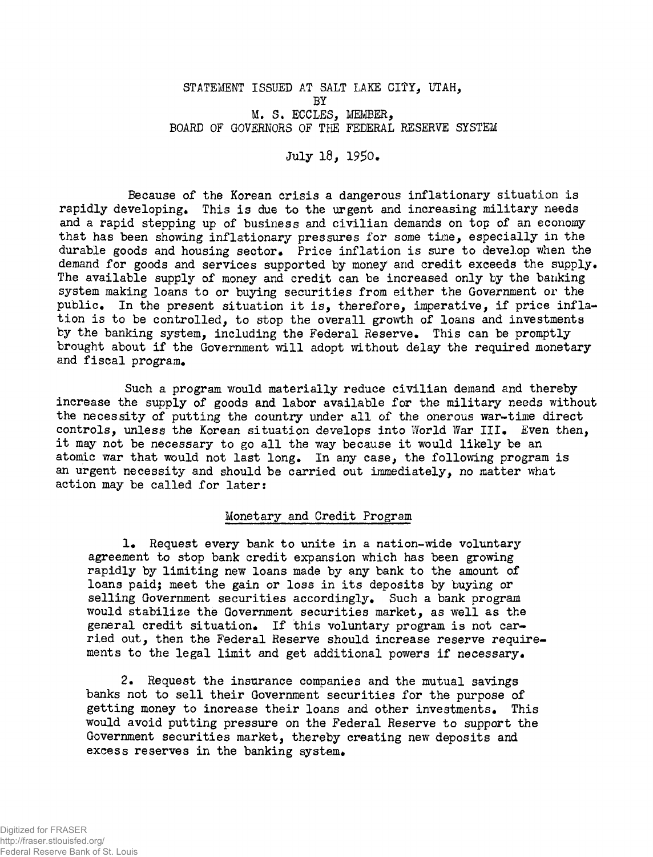## **STATEMENT ISSUED AT SALT LAKE CITY, UTAH, BY M. S. ECCLES, MEMBER, BOARD OF GOVERNORS OF THE FEDERAL RESERVE SYSTEM**

**July 18, 19\$0\*** 

**Because of the Korean crisi s a dangerous inflationar y situatio n i s rapidl y developing\* This i s due t o the urgent and increasing militar y needs and a rapid stepping up of business and civilia n demands on top of an economy tha t has been showing inflationar y pressures fo r some time, especiall y i n the**  durable goods and housing sector. Price inflation is sure to develop when the demand for goods and services supported by money and credit exceeds the supply. The available supply of money and credit can be increased only by the banking system making loans to or buying securities from either the Government or the **public \* I n the present situatio n i t is , therefore, imperative, i f price infla tio n i s to be controlled , t o stop the overal l growth of loans and investments**  by the banking system, including the Federal Reserve. This can be promptly **brought about i f the Government wil l adopt without delay the required monetary**  and fiscal program.

Such a program would materially reduce civilian demand and thereby **increase the supply of goods and labor available fo r the militar y needs without**  the necessity of putting the country under all of the onerous war-time direct **controls , unless the Korean situatio n develops int o World War III \* Even then, i t may not be necessary to go al l the way because i t would likel y be an**  atomic war that would not last long. In any case, the following program is **an urgent necessity and should be carried out immediately, no matter what**  action may be called for later:

## **Monetary and Credit Program**

**1.** Request every bank to unite in a nation-wide voluntary **agreement to stop bank credi t expansion which has been growing**  rapidly by limiting new loans made by any bank to the amount of loans paid; meet the gain or loss in its deposits by buying or **sellin g Government securitie s accordingly. Such a bank program would stabilize the Government securities market, as well as the** general credit situation. If this voluntary program is not car**rie d out, then the Federal Reserve should increase reserve require**  ments to the legal limit and get additional powers if necessary.

**2. Request the insurance companies and the mutual savings banks not to sel l thei r Government securitie s fo r the purpose of gettin g money to increase thei r loans and other investments\* This**  would avoid putting pressure on the Federal Reserve to support the Government securities market, thereby creating new deposits and excess reserves in the banking system.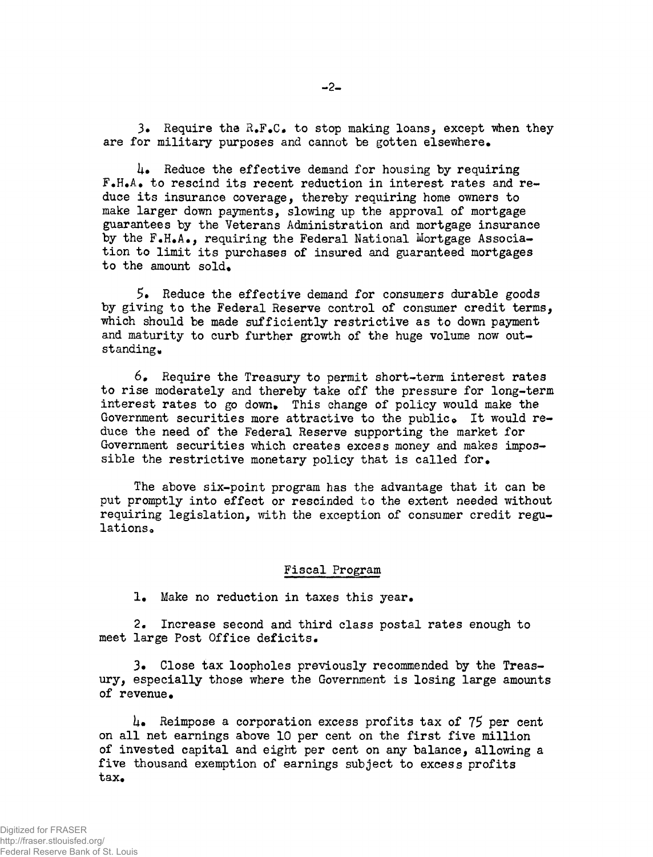**3.** Require the R.F.C. to stop making loans, except when they are for military purposes and cannot be gotten elsewhere.

**i**+ Reduce the effective demand for housing by requiring **F«H\*A\* t o rescind it s recent reduction i n interes t rates and re**  duce its insurance coverage, thereby requiring home owners to **make larger down payments, slowing up the approval of mortgage guarantees by the Veterans Administration and mortgage insurance**  by the F.H.A., requiring the Federal National Mortgage Associa**tio n t o limi t it s purchases of insured and guaranteed mortgages**  to the amount sold.

5. Reduce the effective demand for consumers durable goods by giving to the Federal Reserve control of consumer credit terms, **which should be made sufficientl y restrictiv e as t o down payment**  and maturity to curb further growth of the huge volume now outstanding.

 $6$ . Require the Treasury to permit short-term interest rates **t o ris e moderately and thereby take of f the pressure fo r long-term**  interest rates to go down. This change of policy would make the Government securities more attractive to the public. It would reduce the need of the Federal Reserve supporting the market for Government securities which creates excess money and makes impossible the restrictive monetary policy that is called for.

The above six-point program has the advantage that it can be put promptly into effect or rescinded to the extent needed without requiring legislation, with the exception of consumer credit regu**lation s a** 

## **Fisca l Program**

1. Make no reduction in taxes this year.

2. Increase second and third class postal rates enough to **meet large Post Offic e deficits .** 

3. Close tax loopholes previously recommended by the Treas**ury , especiall y those where the Government i s losin g large amounts**  of revenue.

**km Reimpose** a **corporation excess profit s ta x of** 75 **per cent on all net earnings above 10 per cent on the first five million of invested capita l and eight per cent on any balance, allowing a**  five thousand exemption of earnings subject to excess profits tax.